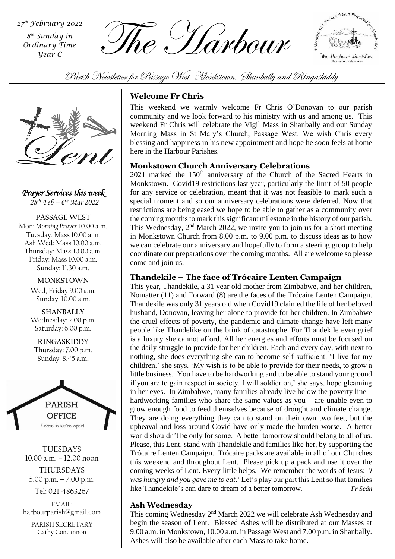*th February 2022 8 th Sunday in Ordinary Time Year C*

The Harbour *<sup>27</sup>*



Parish Newsletter for Passage West, Monkstown, Shanbally and Ringaskiddy



*Prayer Services this week 28 th Feb – 6 th Mar 2022*

**PASSAGE WEST** Mon: *Morning Prayer* 10.00 a.m. Tuesday: Mass 10.00 a.m. Ash Wed: Mass 10.00 a.m. Thursday: Mass 10.00 a.m. Friday: Mass 10.00 a.m. Sunday: 11.30 a.m.

### **MONKSTOWN**

Wed, Friday 9.00 a.m. Sunday: 10.00 a.m.

**SHANBALLY** Wednesday: 7.00 p.m. Saturday: 6.00 p.m.

**RINGASKIDDY** Thursday: 7.00 p.m. Sunday: 8.45 a.m.



TUESDAYS 10.00 a.m. – 12.00 noon THURSDAYS 5.00 p.m. – 7.00 p.m.

Tel: 021-4863267

EMAIL: harbourparish@gmail.com

PARISH SECRETARY Cathy Concannon

## **Welcome Fr Chris**

This weekend we warmly welcome Fr Chris O'Donovan to our parish community and we look forward to his ministry with us and among us. This weekend Fr Chris will celebrate the Vigil Mass in Shanbally and our Sunday Morning Mass in St Mary's Church, Passage West. We wish Chris every blessing and happiness in his new appointment and hope he soon feels at home here in the Harbour Parishes.

### **Monkstown Church Anniversary Celebrations**

 $2021$  marked the  $150<sup>th</sup>$  anniversary of the Church of the Sacred Hearts in Monkstown. Covid19 restrictions last year, particularly the limit of 50 people for any service or celebration, meant that it was not feasible to mark such a special moment and so our anniversary celebrations were deferred. Now that restrictions are being eased we hope to be able to gather as a community over the coming months to mark this significant milestone in the history of our parish. This Wednesday,  $2<sup>nd</sup>$  March 2022, we invite you to join us for a short meeting in Monkstown Church from 8.00 p.m. to 9.00 p.m. to discuss ideas as to how we can celebrate our anniversary and hopefully to form a steering group to help coordinate our preparations over the coming months. All are welcome so please come and join us.

### **Thandekile – The face of Trócaire Lenten Campaign**

*Parish Assembly* is a luxury she cannot afford. All her energies and efforts must be focused on This year, Thandekile, a 31 year old mother from Zimbabwe, and her children, Nomatter (11) and Forward (8) are the faces of the Trócaire Lenten Campaign. Thandekile was only 31 years old when Covid19 claimed the life of her beloved husband, Donovan, leaving her alone to provide for her children. In Zimbabwe the cruel effects of poverty, the pandemic and climate change have left many people like Thandelike on the brink of catastrophe. For Thandekile even grief the daily struggle to provide for her children. Each and every day, with next to nothing, she does everything she can to become self-sufficient. 'I live for my children.' she says. 'My wish is to be able to provide for their needs, to grow a little business. You have to be hardworking and to be able to stand your ground if you are to gain respect in society. I will soldier on,' she says, hope gleaming in her eyes. In Zimbabwe, many families already live below the poverty line – hardworking families who share the same values as you – are unable even to grow enough food to feed themselves because of drought and climate change. They are doing everything they can to stand on their own two feet, but the upheaval and loss around Covid have only made the burden worse. A better world shouldn't be only for some. A better tomorrow should belong to all of us. Please, this Lent, stand with Thandekile and families like her, by supporting the Trócaire Lenten Campaign. Trócaire packs are available in all of our Churches this weekend and throughout Lent. Please pick up a pack and use it over the coming weeks of Lent. Every little helps. We remember the words of Jesus: *'I was hungry and you gave me to eat*.' Let's play our part this Lent so that families like Thandekile's can dare to dream of a better tomorrow*. Fr Seán*

### **Ash Wednesday**

This coming Wednesday 2nd March 2022 we will celebrate Ash Wednesday and begin the season of Lent. Blessed Ashes will be distributed at our Masses at 9.00 a.m. in Monkstown, 10.00 a.m. in Passage West and 7.00 p.m. in Shanbally. Ashes will also be available after each Mass to take home.